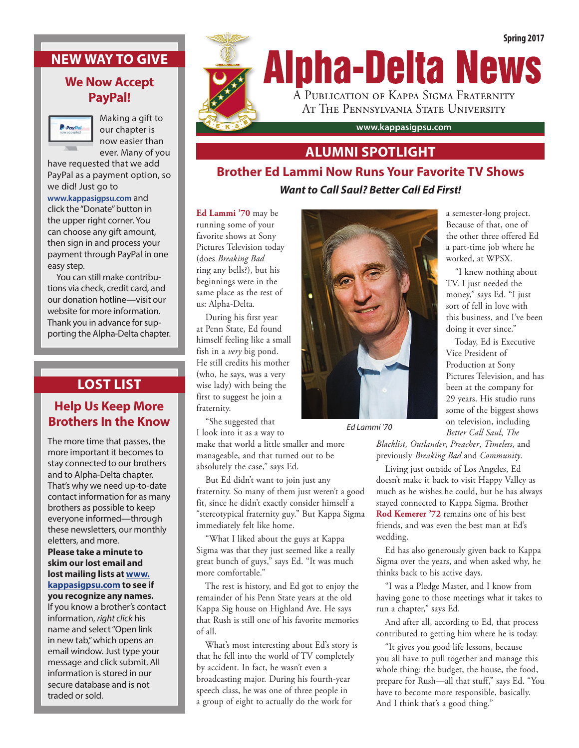## **NEW WAY TO GIVE**

## **We Now Accept PayPal!**



Making a gift to our chapter is now easier than ever. Many of you

have requested that we add PayPal as a payment option, so we did! Just go to

**www.kappasigpsu.com** and click the "Donate" button in the upper right corner. You can choose any gift amount, then sign in and process your payment through PayPal in one easy step.

You can still make contributions via check, credit card, and our donation hotline—visit our website for more information. Thank you in advance for supporting the Alpha-Delta chapter.

# **LOST LIST**

## **Help Us Keep More Brothers In the Know**

The more time that passes, the more important it becomes to stay connected to our brothers and to Alpha-Delta chapter. That's why we need up-to-date contact information for as many brothers as possible to keep everyone informed—through these newsletters, our monthly eletters, and more.

### **Please take a minute to skim our lost email and lost mailing lists at www. kappasigpsu.com to see if you recognize any names.**

If you know a brother's contact information, *right click* his name and select "Open link in new tab," which opens an email window. Just type your message and click submit. All information is stored in our secure database and is not traded or sold.



## **ALUMNI SPOTLIGHT**

# **Brother Ed Lammi Now Runs Your Favorite TV Shows** *Want to Call Saul? Better Call Ed First!*

**Ed Lammi '70** may be running some of your favorite shows at Sony Pictures Television today (does *Breaking Bad* ring any bells?), but his beginnings were in the same place as the rest of us: Alpha-Delta.

During his first year at Penn State, Ed found himself feeling like a small fish in a *very* big pond. He still credits his mother (who, he says, was a very wise lady) with being the first to suggest he join a fraternity.

"She suggested that I look into it as a way to

make that world a little smaller and more manageable, and that turned out to be absolutely the case," says Ed.

But Ed didn't want to join just any fraternity. So many of them just weren't a good fit, since he didn't exactly consider himself a "stereotypical fraternity guy." But Kappa Sigma immediately felt like home.

"What I liked about the guys at Kappa Sigma was that they just seemed like a really great bunch of guys," says Ed. "It was much more comfortable."

The rest is history, and Ed got to enjoy the remainder of his Penn State years at the old Kappa Sig house on Highland Ave. He says that Rush is still one of his favorite memories of all.

What's most interesting about Ed's story is that he fell into the world of TV completely by accident. In fact, he wasn't even a broadcasting major. During his fourth-year speech class, he was one of three people in a group of eight to actually do the work for



*Ed Lammi '70*

a semester-long project. Because of that, one of the other three offered Ed a part-time job where he worked, at WPSX.

"I knew nothing about TV. I just needed the money," says Ed. "I just sort of fell in love with this business, and I've been doing it ever since."

Today, Ed is Executive Vice President of Production at Sony Pictures Television, and has been at the company for 29 years. His studio runs some of the biggest shows on television, including *Better Call Saul*, *The* 

*Blacklist*, *Outlander*, *Preacher*, *Timeless*, and previously *Breaking Bad* and *Community*.

Living just outside of Los Angeles, Ed doesn't make it back to visit Happy Valley as much as he wishes he could, but he has always stayed connected to Kappa Sigma. Brother **Rod Kemerer '72** remains one of his best friends, and was even the best man at Ed's wedding.

Ed has also generously given back to Kappa Sigma over the years, and when asked why, he thinks back to his active days.

"I was a Pledge Master, and I know from having gone to those meetings what it takes to run a chapter," says Ed.

And after all, according to Ed, that process contributed to getting him where he is today.

"It gives you good life lessons, because you all have to pull together and manage this whole thing: the budget, the house, the food, prepare for Rush—all that stuff," says Ed. "You have to become more responsible, basically. And I think that's a good thing."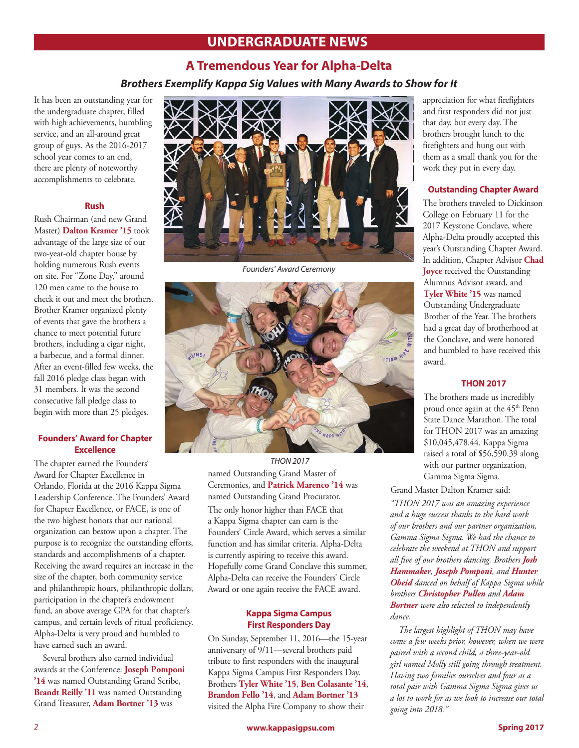# **UNDERGRADUATE NEWS**

## **A Tremendous Year for Alpha-Delta**

*Brothers Exemplify Kappa Sig Values with Many Awards to Show for It*

It has been an outstanding year for the undergraduate chapter, filled with high achievements, humbling service, and an all-around great group of guys. As the 2016-2017 school year comes to an end, there are plenty of noteworthy accomplishments to celebrate.

### **Rush**

Rush Chairman (and new Grand Master) **Dalton Kramer '15** took advantage of the large size of our two-year-old chapter house by holding numerous Rush events on site. For "Zone Day," around 120 men came to the house to check it out and meet the brothers. Brother Kramer organized plenty of events that gave the brothers a chance to meet potential future brothers, including a cigar night, a barbecue, and a formal dinner. After an event-filled few weeks, the fall 2016 pledge class began with 31 members. It was the second consecutive fall pledge class to begin with more than 25 pledges.

### **Founders' Award for Chapter Excellence**

The chapter earned the Founders' Award for Chapter Excellence in Orlando, Florida at the 2016 Kappa Sigma Leadership Conference. The Founders' Award for Chapter Excellence, or FACE, is one of the two highest honors that our national organization can bestow upon a chapter. The purpose is to recognize the outstanding efforts, standards and accomplishments of a chapter. Receiving the award requires an increase in the size of the chapter, both community service and philanthropic hours, philanthropic dollars, participation in the chapter's endowment fund, an above average GPA for that chapter's campus, and certain levels of ritual proficiency. Alpha-Delta is very proud and humbled to have earned such an award.

Several brothers also earned individual awards at the Conference: **Joseph Pomponi '14** was named Outstanding Grand Scribe, **Brandt Reilly '11** was named Outstanding Grand Treasurer, **Adam Bortner '13** was



*Founders' Award Ceremony*



named Outstanding Grand Master of Ceremonies, and **Patrick Marenco '14** was named Outstanding Grand Procurator. The only honor higher than FACE that a Kappa Sigma chapter can earn is the Founders' Circle Award, which serves a similar function and has similar criteria. Alpha-Delta is currently aspiring to receive this award. Hopefully come Grand Conclave this summer, Alpha-Delta can receive the Founders' Circle Award or one again receive the FACE award. *THON 2017*

### **Kappa Sigma Campus First Responders Day**

On Sunday, September 11, 2016—the 15-year anniversary of 9/11—several brothers paid tribute to first responders with the inaugural Kappa Sigma Campus First Responders Day. Brothers **Tyler White '15**, **Ben Colasante '14**, **Brandon Fello '14**, and **Adam Bortner '13** visited the Alpha Fire Company to show their

appreciation for what firefighters and first responders did not just that day, but every day. The brothers brought lunch to the firefighters and hung out with them as a small thank you for the work they put in every day.

### **Outstanding Chapter Award**

The brothers traveled to Dickinson College on February 11 for the 2017 Keystone Conclave, where Alpha-Delta proudly accepted this year's Outstanding Chapter Award. In addition, Chapter Advisor **Chad Joyce** received the Outstanding Alumnus Advisor award, and **Tyler White '15** was named Outstanding Undergraduate Brother of the Year. The brothers had a great day of brotherhood at the Conclave, and were honored and humbled to have received this award.

### **THON 2017**

The brothers made us incredibly proud once again at the 45<sup>th</sup> Penn State Dance Marathon. The total for THON 2017 was an amazing \$10,045,478.44. Kappa Sigma raised a total of \$56,590.39 along with our partner organization, Gamma Sigma Sigma.

Grand Master Dalton Kramer said:

*"THON 2017 was an amazing experience and a huge success thanks to the hard work of our brothers and our partner organization, Gamma Sigma Sigma. We had the chance to celebrate the weekend at THON and support all five of our brothers dancing. Brothers Josh Hammaker, Joseph Pomponi, and Hunter Obeid danced on behalf of Kappa Sigma while brothers Christopher Pullen and Adam Bortner were also selected to independently dance.* 

*The largest highlight of THON may have come a few weeks prior, however, when we were paired with a second child, a three-year-old girl named Molly still going through treatment. Having two families ourselves and four as a total pair with Gamma Sigma Sigma gives us a lot to work for as we look to increase our total going into 2018."*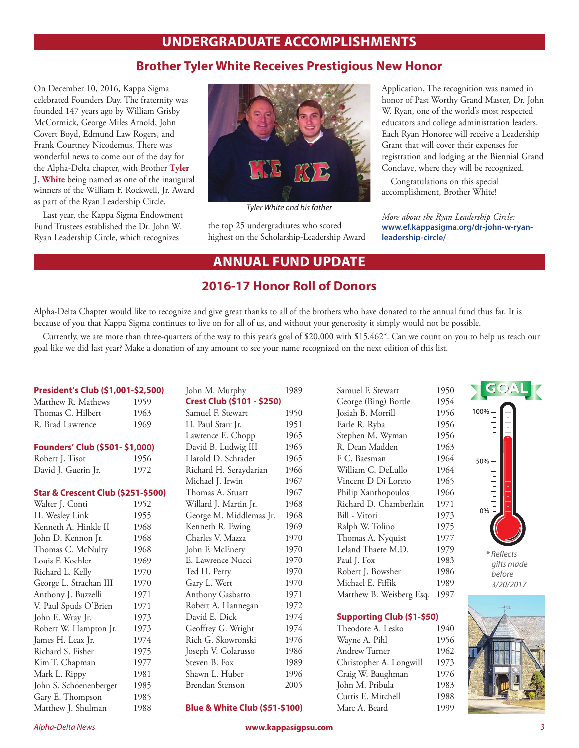## **UNDERGRADUATE ACCOMPLISHMENTS**

## **Brother Tyler White Receives Prestigious New Honor**

On December 10, 2016, Kappa Sigma celebrated Founders Day. The fraternity was founded 147 years ago by William Grisby McCormick, George Miles Arnold, John Covert Boyd, Edmund Law Rogers, and Frank Courtney Nicodemus. There was wonderful news to come out of the day for the Alpha-Delta chapter, with Brother **Tyler J. White** being named as one of the inaugural winners of the William F. Rockwell, Jr. Award as part of the Ryan Leadership Circle.

Last year, the Kappa Sigma Endowment Fund Trustees established the Dr. John W. Ryan Leadership Circle, which recognizes



*Tyler White and his father*

the top 25 undergraduates who scored highest on the Scholarship-Leadership Award Application. The recognition was named in honor of Past Worthy Grand Master, Dr. John W. Ryan, one of the world's most respected educators and college administration leaders. Each Ryan Honoree will receive a Leadership Grant that will cover their expenses for registration and lodging at the Biennial Grand Conclave, where they will be recognized.

Congratulations on this special accomplishment, Brother White!

*More about the Ryan Leadership Circle:* **www.ef.kappasigma.org/dr-john-w-ryanleadership-circle/**

## **ANNUAL FUND UPDATE**

## **2016-17 Honor Roll of Donors**

Alpha-Delta Chapter would like to recognize and give great thanks to all of the brothers who have donated to the annual fund thus far. It is because of you that Kappa Sigma continues to live on for all of us, and without your generosity it simply would not be possible.

Currently, we are more than three-quarters of the way to this year's goal of \$20,000 with \$15,462\*. Can we count on you to help us reach our goal like we did last year? Make a donation of any amount to see your name recognized on the next edition of this list.

### **President's Club (\$1,001-\$2,500)**

| Matthew R. Mathews | 1959 |
|--------------------|------|
| Thomas C. Hilbert  | 1963 |
| R. Brad Lawrence   | 1969 |

#### **Founders' Club (\$501- \$1,000)**

| Robert J. Tisot     | 1956 |
|---------------------|------|
| David J. Guerin Jr. | 1972 |

#### **Star & Crescent Club (\$251-\$500)**

| Walter J. Conti        | 1952 |
|------------------------|------|
| H. Wesley Link         | 1955 |
| Kenneth A. Hinkle II   | 1968 |
| John D. Kennon Jr.     | 1968 |
| Thomas C. McNulty      | 1968 |
| Louis F. Koehler       | 1969 |
| Richard L. Kelly       | 1970 |
| George L. Strachan III | 1970 |
| Anthony J. Buzzelli    | 1971 |
| V. Paul Spuds O'Brien  | 1971 |
| John E. Wray Jr.       | 1973 |
| Robert W. Hampton Jr.  | 1973 |
| James H. Leax Jr.      | 1974 |
| Richard S. Fisher      | 1975 |
| Kim T. Chapman         | 1977 |
| Mark L. Rippy          | 1981 |
| John S. Schoenenberger | 1985 |
| Gary E. Thompson       | 1985 |
| Matthew J. Shulman     | 1988 |

John M. Murphy 1989 **Crest Club (\$101 - \$250)** Samuel F. Stewart 1950 H. Paul Starr Jr. 1951 Lawrence E. Chopp 1965 David B. Ludwig III 1965 Harold D. Schrader 1965 Richard H. Seraydarian 1966 Michael J. Irwin 1967 Thomas A. Stuart 1967 Willard J. Martin Jr. 1968 George M. Middlemas Jr. 1968 Kenneth R. Ewing 1969 Charles V. Mazza 1970 John F. McEnery 1970 E. Lawrence Nucci 1970 Ted H. Perry 1970 Gary L. Wert 1970 Anthony Gasbarro 1971 Robert A. Hannegan 1972 David E. Dick 1974 Geoffrey G. Wright 1974 Rich G. Skowronski 1976 Joseph V. Colarusso 1986 Steven B. Fox 1989 Shawn L. Huber 1996 Brendan Stenson 2005

Samuel F. Stewart 1950 George (Bing) Bortle 1954 Josiah B. Morrill 1956 Earle R. Ryba 1956 Stephen M. Wyman 1956 R. Dean Madden 1963 F C. Baesman 1964 William C. DeLullo 1964 Vincent D Di Loreto 1965 Philip Xanthopoulos 1966 Richard D. Chamberlain 1971 Bill - Vitori 1973 Ralph W. Tolino 1975 Thomas A. Nyquist 1977 Leland Thaete M.D. 1979 Paul J. Fox 1983 Robert J. Bowsher 1986 Michael E. Fiffik 1989 Matthew B. Weisberg Esq. 1997

### **Supporting Club (\$1-\$50)**

Theodore A. Lesko 1940 Wayne A. Pihl 1956 Andrew Turner 1962 Christopher A. Longwill 1973 Craig W. Baughman 1976 John M. Pribula 1983 Curtis E. Mitchell 1988 Marc A. Beard 1999



### **Blue & White Club (\$51-\$100)**